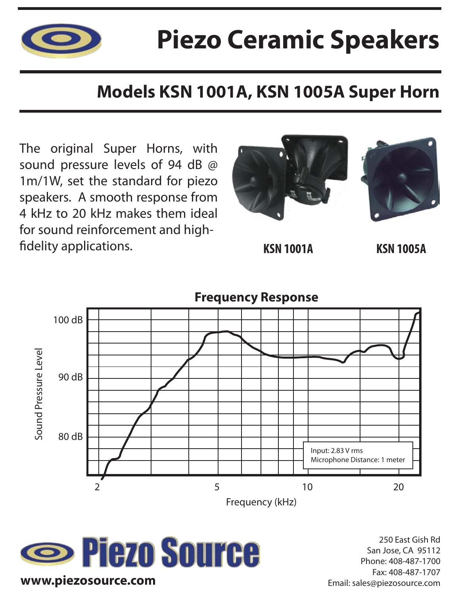

## **Piezo Ceramic Speakers**

### **Models KSN 1001A, KSN 1005A Super Horn**

The original Super Horns, with sound pressure levels of 94 dB @ 1m/1W, set the standard for piezo speakers. A smooth response from 4 kHz to 20 kHz makes them ideal for sound reinforcement and high fidelity applications. **KSN 10014 KSN 1005A** 









250 East Gish Rd San Jose, CA 95112 Phone: 408-487-1700 Fax: 408-487-1707 Email: sales@piezosource.com